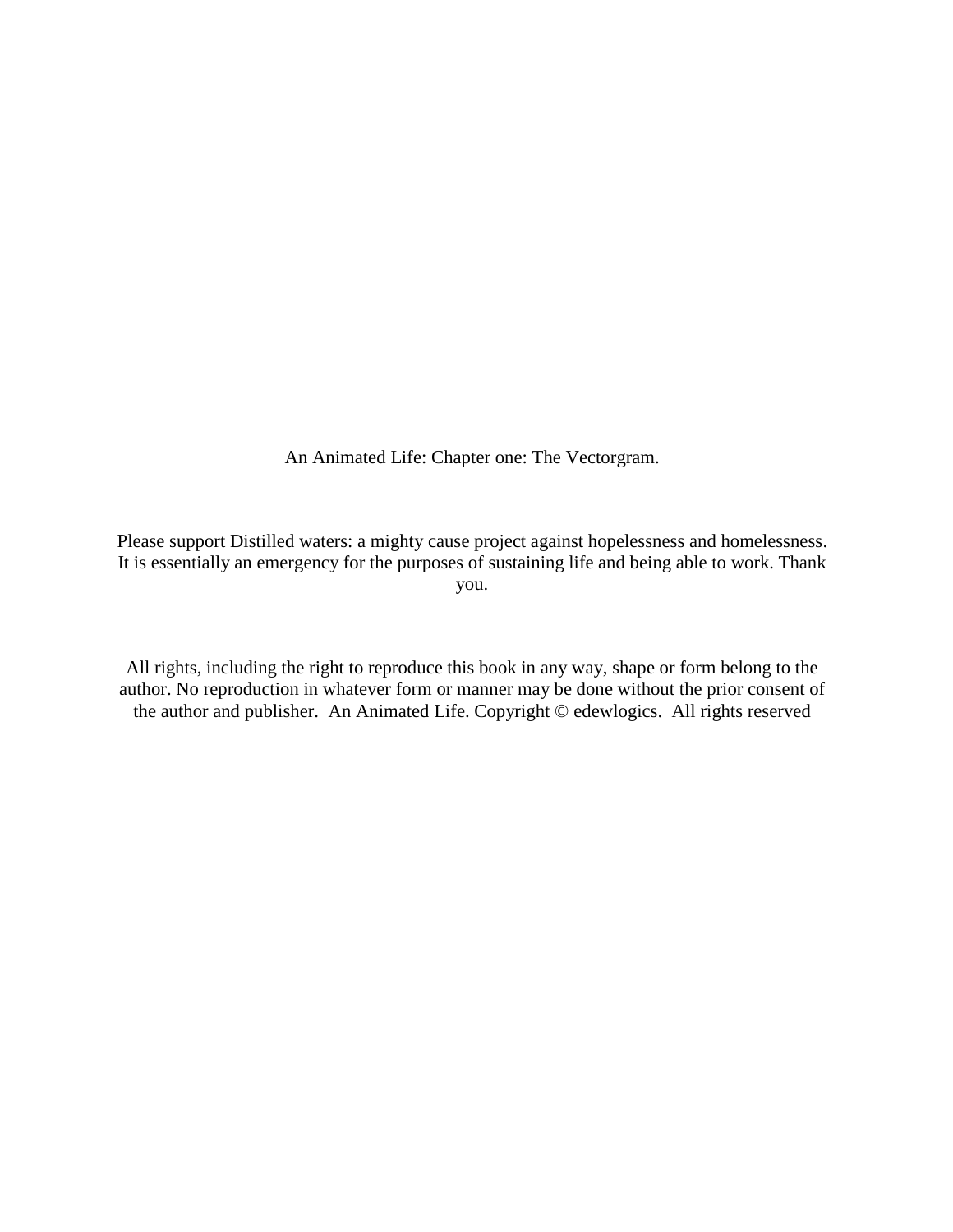An Animated Life: Chapter one: The Vectorgram.

Please support Distilled waters: a mighty cause project against hopelessness and homelessness. It is essentially an emergency for the purposes of sustaining life and being able to work. Thank you.

All rights, including the right to reproduce this book in any way, shape or form belong to the author. No reproduction in whatever form or manner may be done without the prior consent of the author and publisher. An Animated Life. Copyright © edewlogics. All rights reserved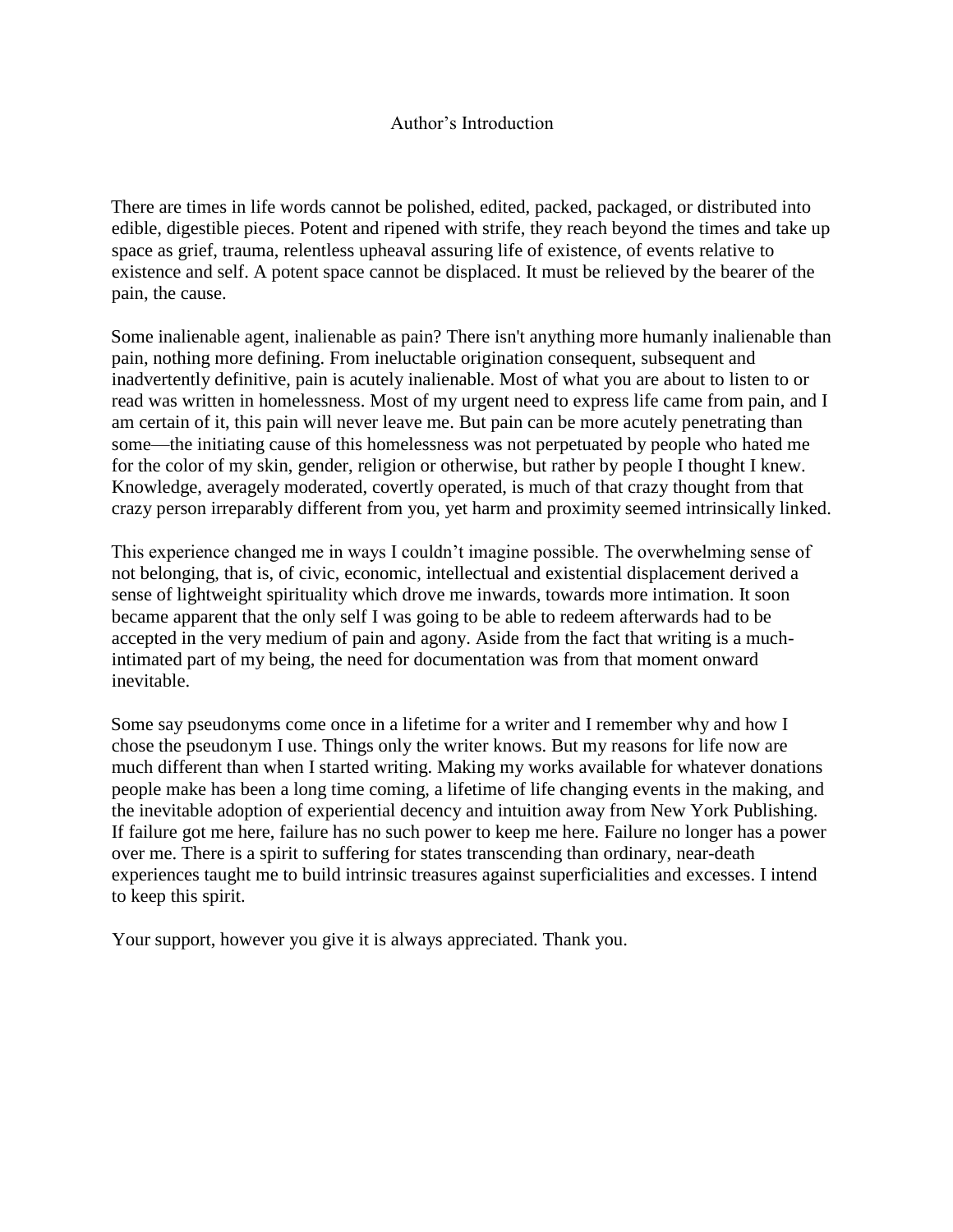There are times in life words cannot be polished, edited, packed, packaged, or distributed into edible, digestible pieces. Potent and ripened with strife, they reach beyond the times and take up space as grief, trauma, relentless upheaval assuring life of existence, of events relative to existence and self. A potent space cannot be displaced. It must be relieved by the bearer of the pain, the cause.

Some inalienable agent, inalienable as pain? There isn't anything more humanly inalienable than pain, nothing more defining. From ineluctable origination consequent, subsequent and inadvertently definitive, pain is acutely inalienable. Most of what you are about to listen to or read was written in homelessness. Most of my urgent need to express life came from pain, and I am certain of it, this pain will never leave me. But pain can be more acutely penetrating than some—the initiating cause of this homelessness was not perpetuated by people who hated me for the color of my skin, gender, religion or otherwise, but rather by people I thought I knew. Knowledge, averagely moderated, covertly operated, is much of that crazy thought from that crazy person irreparably different from you, yet harm and proximity seemed intrinsically linked.

This experience changed me in ways I couldn't imagine possible. The overwhelming sense of not belonging, that is, of civic, economic, intellectual and existential displacement derived a sense of lightweight spirituality which drove me inwards, towards more intimation. It soon became apparent that the only self I was going to be able to redeem afterwards had to be accepted in the very medium of pain and agony. Aside from the fact that writing is a muchintimated part of my being, the need for documentation was from that moment onward inevitable.

Some say pseudonyms come once in a lifetime for a writer and I remember why and how I chose the pseudonym I use. Things only the writer knows. But my reasons for life now are much different than when I started writing. Making my works available for whatever donations people make has been a long time coming, a lifetime of life changing events in the making, and the inevitable adoption of experiential decency and intuition away from New York Publishing. If failure got me here, failure has no such power to keep me here. Failure no longer has a power over me. There is a spirit to suffering for states transcending than ordinary, near-death experiences taught me to build intrinsic treasures against superficialities and excesses. I intend to keep this spirit.

Your support, however you give it is always appreciated. Thank you.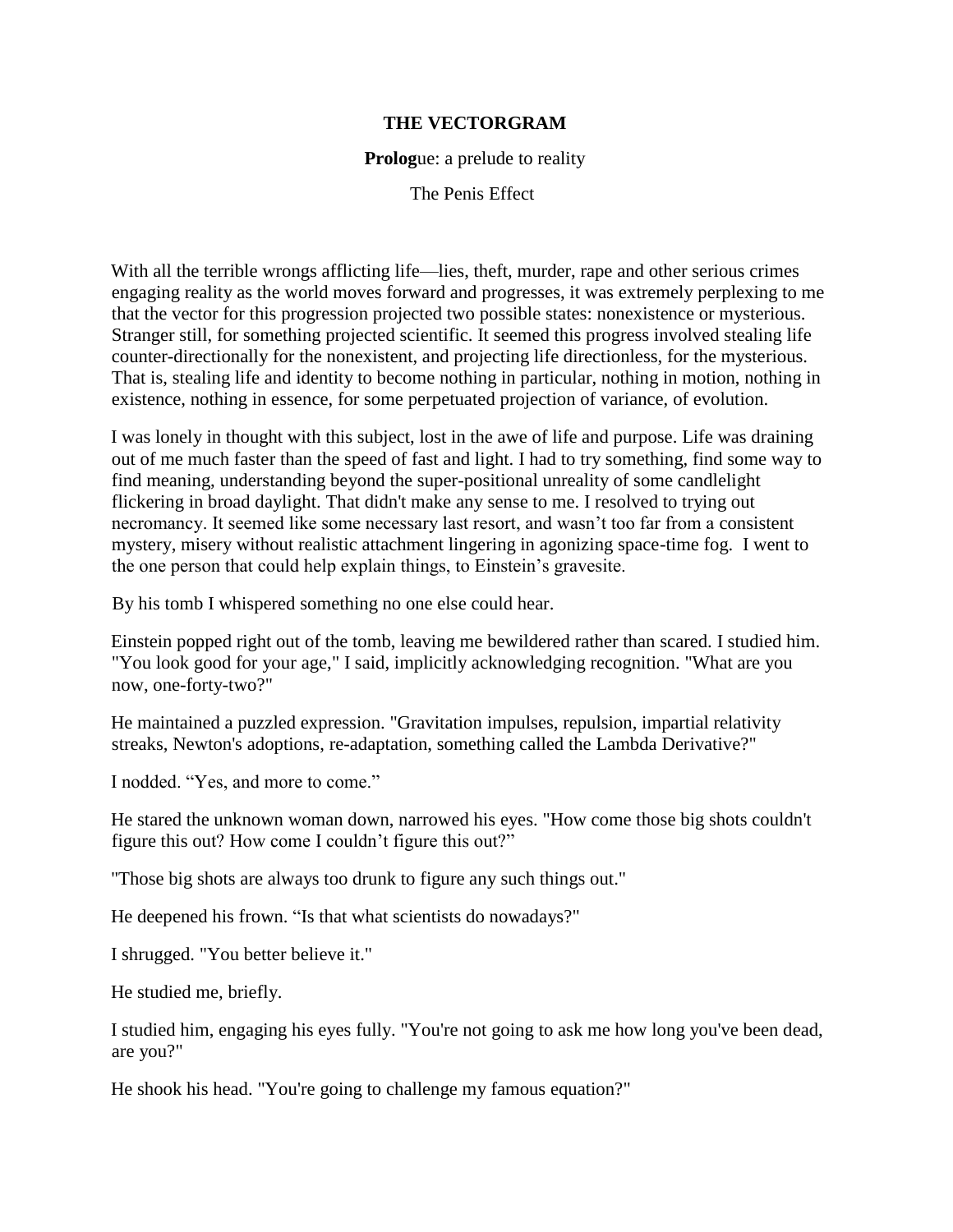## **THE VECTORGRAM**

## **Prolog**ue: a prelude to reality

The Penis Effect

With all the terrible wrongs afflicting life—lies, theft, murder, rape and other serious crimes engaging reality as the world moves forward and progresses, it was extremely perplexing to me that the vector for this progression projected two possible states: nonexistence or mysterious. Stranger still, for something projected scientific. It seemed this progress involved stealing life counter-directionally for the nonexistent, and projecting life directionless, for the mysterious. That is, stealing life and identity to become nothing in particular, nothing in motion, nothing in existence, nothing in essence, for some perpetuated projection of variance, of evolution.

I was lonely in thought with this subject, lost in the awe of life and purpose. Life was draining out of me much faster than the speed of fast and light. I had to try something, find some way to find meaning, understanding beyond the super-positional unreality of some candlelight flickering in broad daylight. That didn't make any sense to me. I resolved to trying out necromancy. It seemed like some necessary last resort, and wasn't too far from a consistent mystery, misery without realistic attachment lingering in agonizing space-time fog. I went to the one person that could help explain things, to Einstein's gravesite.

By his tomb I whispered something no one else could hear.

Einstein popped right out of the tomb, leaving me bewildered rather than scared. I studied him. "You look good for your age," I said, implicitly acknowledging recognition. "What are you now, one-forty-two?"

He maintained a puzzled expression. "Gravitation impulses, repulsion, impartial relativity streaks, Newton's adoptions, re-adaptation, something called the Lambda Derivative?"

I nodded. "Yes, and more to come."

He stared the unknown woman down, narrowed his eyes. "How come those big shots couldn't figure this out? How come I couldn't figure this out?"

"Those big shots are always too drunk to figure any such things out."

He deepened his frown. "Is that what scientists do nowadays?"

I shrugged. "You better believe it."

He studied me, briefly.

I studied him, engaging his eyes fully. "You're not going to ask me how long you've been dead, are you?"

He shook his head. "You're going to challenge my famous equation?"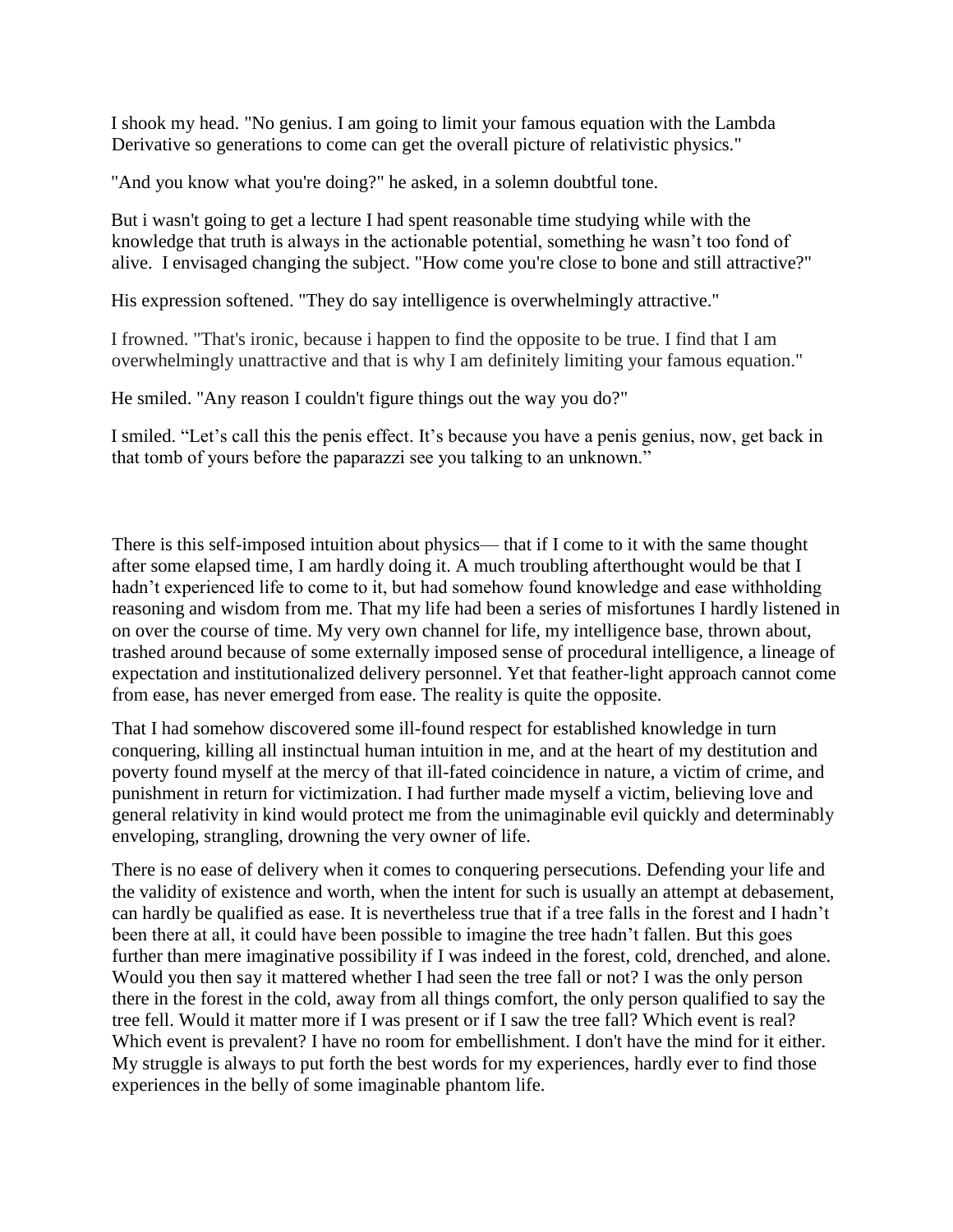I shook my head. "No genius. I am going to limit your famous equation with the Lambda Derivative so generations to come can get the overall picture of relativistic physics."

"And you know what you're doing?" he asked, in a solemn doubtful tone.

But i wasn't going to get a lecture I had spent reasonable time studying while with the knowledge that truth is always in the actionable potential, something he wasn't too fond of alive. I envisaged changing the subject. "How come you're close to bone and still attractive?"

His expression softened. "They do say intelligence is overwhelmingly attractive."

I frowned. "That's ironic, because i happen to find the opposite to be true. I find that I am overwhelmingly unattractive and that is why I am definitely limiting your famous equation."

He smiled. "Any reason I couldn't figure things out the way you do?"

I smiled. "Let's call this the penis effect. It's because you have a penis genius, now, get back in that tomb of yours before the paparazzi see you talking to an unknown."

There is this self-imposed intuition about physics— that if I come to it with the same thought after some elapsed time, I am hardly doing it. A much troubling afterthought would be that I hadn't experienced life to come to it, but had somehow found knowledge and ease withholding reasoning and wisdom from me. That my life had been a series of misfortunes I hardly listened in on over the course of time. My very own channel for life, my intelligence base, thrown about, trashed around because of some externally imposed sense of procedural intelligence, a lineage of expectation and institutionalized delivery personnel. Yet that feather-light approach cannot come from ease, has never emerged from ease. The reality is quite the opposite.

That I had somehow discovered some ill-found respect for established knowledge in turn conquering, killing all instinctual human intuition in me, and at the heart of my destitution and poverty found myself at the mercy of that ill-fated coincidence in nature, a victim of crime, and punishment in return for victimization. I had further made myself a victim, believing love and general relativity in kind would protect me from the unimaginable evil quickly and determinably enveloping, strangling, drowning the very owner of life.

There is no ease of delivery when it comes to conquering persecutions. Defending your life and the validity of existence and worth, when the intent for such is usually an attempt at debasement, can hardly be qualified as ease. It is nevertheless true that if a tree falls in the forest and I hadn't been there at all, it could have been possible to imagine the tree hadn't fallen. But this goes further than mere imaginative possibility if I was indeed in the forest, cold, drenched, and alone. Would you then say it mattered whether I had seen the tree fall or not? I was the only person there in the forest in the cold, away from all things comfort, the only person qualified to say the tree fell. Would it matter more if I was present or if I saw the tree fall? Which event is real? Which event is prevalent? I have no room for embellishment. I don't have the mind for it either. My struggle is always to put forth the best words for my experiences, hardly ever to find those experiences in the belly of some imaginable phantom life.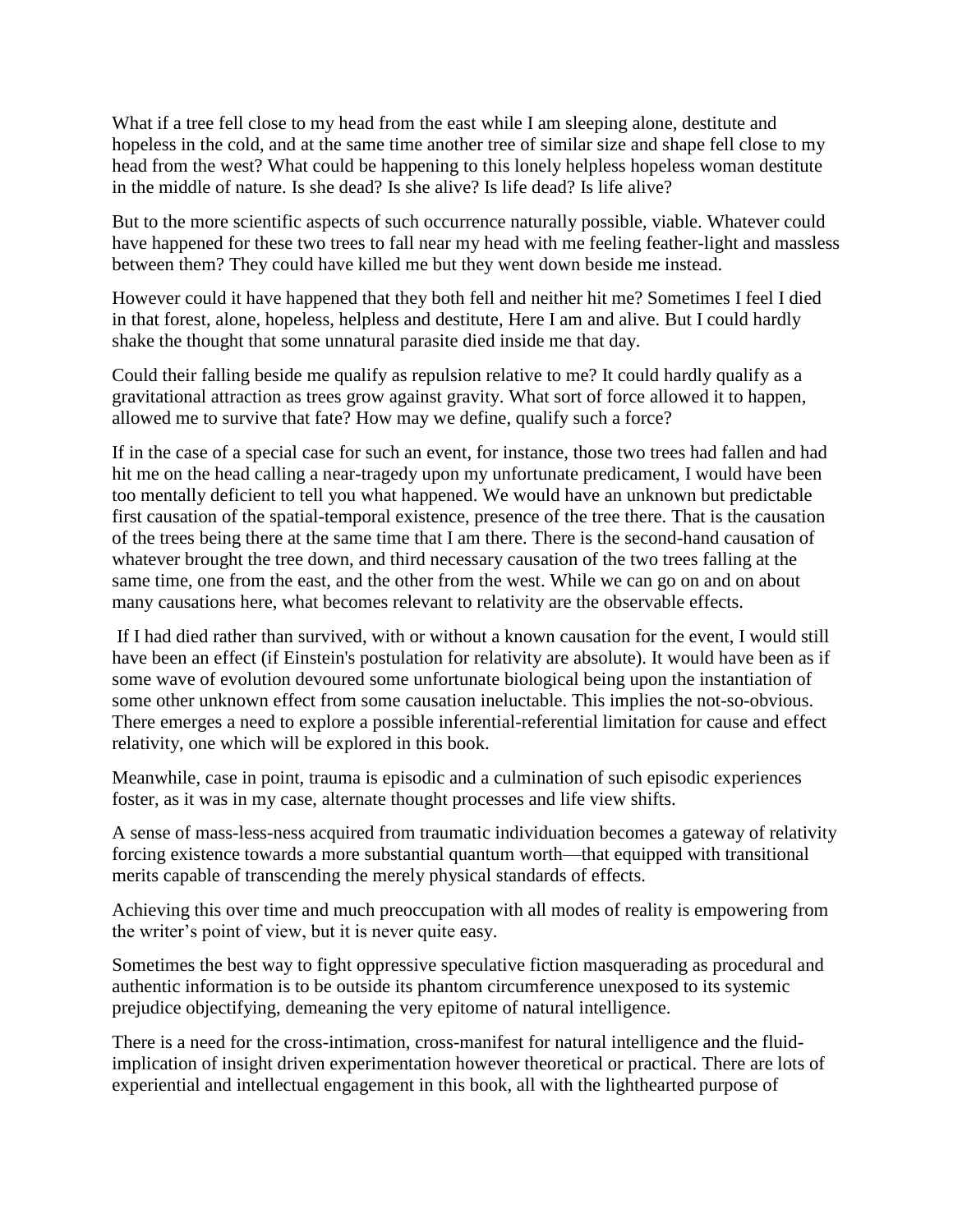What if a tree fell close to my head from the east while I am sleeping alone, destitute and hopeless in the cold, and at the same time another tree of similar size and shape fell close to my head from the west? What could be happening to this lonely helpless hopeless woman destitute in the middle of nature. Is she dead? Is she alive? Is life dead? Is life alive?

But to the more scientific aspects of such occurrence naturally possible, viable. Whatever could have happened for these two trees to fall near my head with me feeling feather-light and massless between them? They could have killed me but they went down beside me instead.

However could it have happened that they both fell and neither hit me? Sometimes I feel I died in that forest, alone, hopeless, helpless and destitute, Here I am and alive. But I could hardly shake the thought that some unnatural parasite died inside me that day.

Could their falling beside me qualify as repulsion relative to me? It could hardly qualify as a gravitational attraction as trees grow against gravity. What sort of force allowed it to happen, allowed me to survive that fate? How may we define, qualify such a force?

If in the case of a special case for such an event, for instance, those two trees had fallen and had hit me on the head calling a near-tragedy upon my unfortunate predicament, I would have been too mentally deficient to tell you what happened. We would have an unknown but predictable first causation of the spatial-temporal existence, presence of the tree there. That is the causation of the trees being there at the same time that I am there. There is the second-hand causation of whatever brought the tree down, and third necessary causation of the two trees falling at the same time, one from the east, and the other from the west. While we can go on and on about many causations here, what becomes relevant to relativity are the observable effects.

If I had died rather than survived, with or without a known causation for the event, I would still have been an effect (if Einstein's postulation for relativity are absolute). It would have been as if some wave of evolution devoured some unfortunate biological being upon the instantiation of some other unknown effect from some causation ineluctable. This implies the not-so-obvious. There emerges a need to explore a possible inferential-referential limitation for cause and effect relativity, one which will be explored in this book.

Meanwhile, case in point, trauma is episodic and a culmination of such episodic experiences foster, as it was in my case, alternate thought processes and life view shifts.

A sense of mass-less-ness acquired from traumatic individuation becomes a gateway of relativity forcing existence towards a more substantial quantum worth—that equipped with transitional merits capable of transcending the merely physical standards of effects.

Achieving this over time and much preoccupation with all modes of reality is empowering from the writer's point of view, but it is never quite easy.

Sometimes the best way to fight oppressive speculative fiction masquerading as procedural and authentic information is to be outside its phantom circumference unexposed to its systemic prejudice objectifying, demeaning the very epitome of natural intelligence.

There is a need for the cross-intimation, cross-manifest for natural intelligence and the fluidimplication of insight driven experimentation however theoretical or practical. There are lots of experiential and intellectual engagement in this book, all with the lighthearted purpose of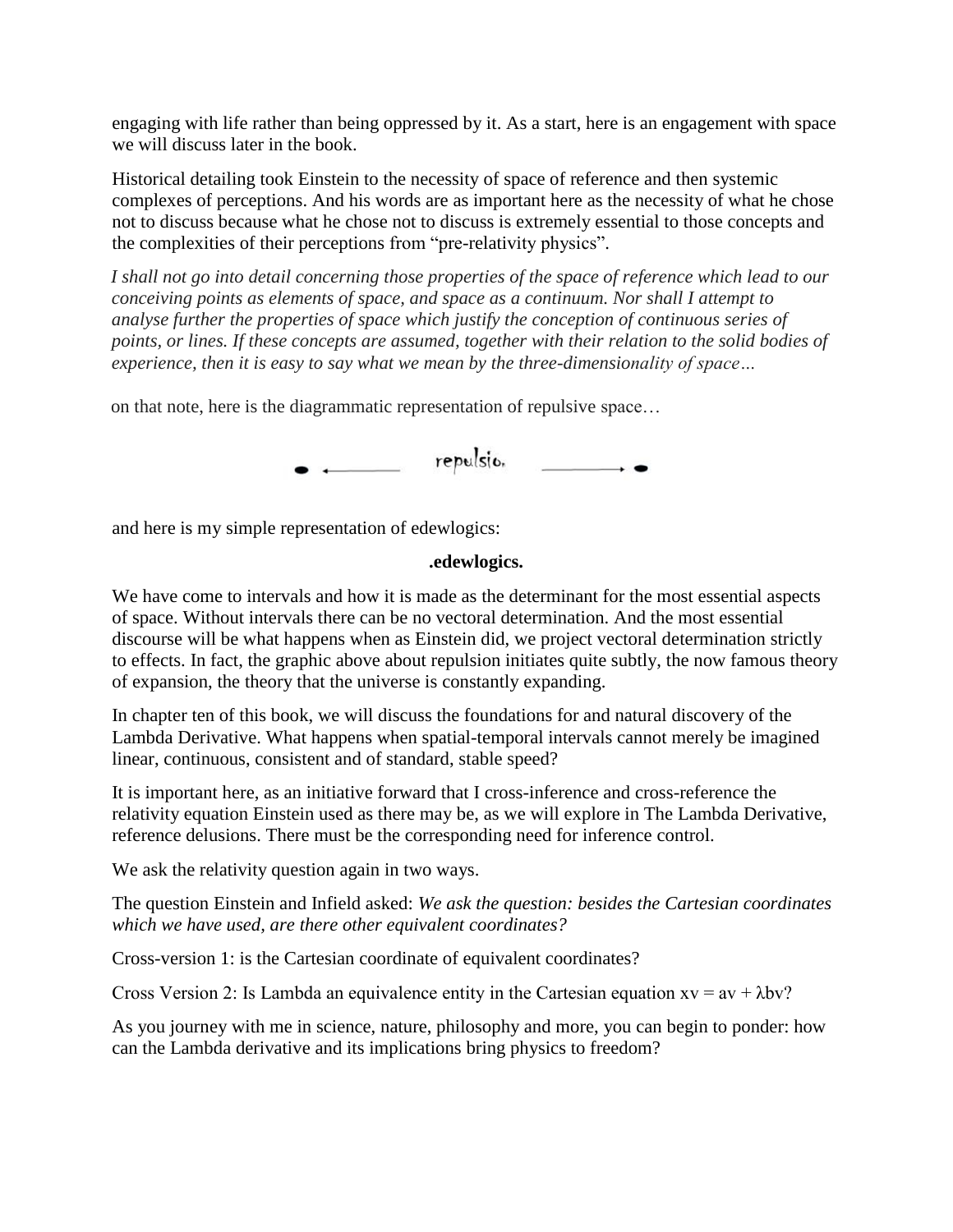engaging with life rather than being oppressed by it. As a start, here is an engagement with space we will discuss later in the book.

Historical detailing took Einstein to the necessity of space of reference and then systemic complexes of perceptions. And his words are as important here as the necessity of what he chose not to discuss because what he chose not to discuss is extremely essential to those concepts and the complexities of their perceptions from "pre-relativity physics".

*I shall not go into detail concerning those properties of the space of reference which lead to our conceiving points as elements of space, and space as a continuum. Nor shall I attempt to analyse further the properties of space which justify the conception of continuous series of points, or lines. If these concepts are assumed, together with their relation to the solid bodies of experience, then it is easy to say what we mean by the three-dimensionality of space…*

on that note, here is the diagrammatic representation of repulsive space…

 $\bullet$   $\leftarrow$  repulsion  $\leftarrow$ 

and here is my simple representation of edewlogics:

## **.edewlogics.**

We have come to intervals and how it is made as the determinant for the most essential aspects of space. Without intervals there can be no vectoral determination. And the most essential discourse will be what happens when as Einstein did, we project vectoral determination strictly to effects. In fact, the graphic above about repulsion initiates quite subtly, the now famous theory of expansion, the theory that the universe is constantly expanding.

In chapter ten of this book, we will discuss the foundations for and natural discovery of the Lambda Derivative. What happens when spatial-temporal intervals cannot merely be imagined linear, continuous, consistent and of standard, stable speed?

It is important here, as an initiative forward that I cross-inference and cross-reference the relativity equation Einstein used as there may be, as we will explore in The Lambda Derivative, reference delusions. There must be the corresponding need for inference control.

We ask the relativity question again in two ways.

The question Einstein and Infield asked: *We ask the question: besides the Cartesian coordinates which we have used, are there other equivalent coordinates?*

Cross-version 1: is the Cartesian coordinate of equivalent coordinates?

Cross Version 2: Is Lambda an equivalence entity in the Cartesian equation  $xy = av + \lambda bv$ ?

As you journey with me in science, nature, philosophy and more, you can begin to ponder: how can the Lambda derivative and its implications bring physics to freedom?